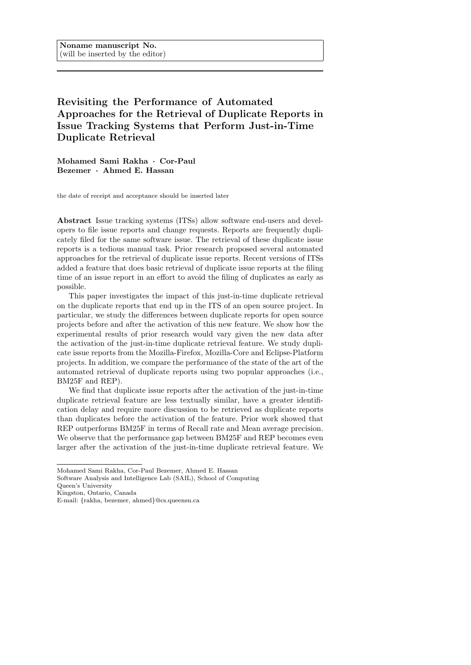# <span id="page-0-0"></span>Revisiting the Performance of Automated Approaches for the Retrieval of Duplicate Reports in Issue Tracking Systems that Perform Just-in-Time Duplicate Retrieval

Mohamed Sami Rakha · Cor-Paul Bezemer · Ahmed E. Hassan

the date of receipt and acceptance should be inserted later

Abstract Issue tracking systems (ITSs) allow software end-users and developers to file issue reports and change requests. Reports are frequently duplicately filed for the same software issue. The retrieval of these duplicate issue reports is a tedious manual task. Prior research proposed several automated approaches for the retrieval of duplicate issue reports. Recent versions of ITSs added a feature that does basic retrieval of duplicate issue reports at the filing time of an issue report in an effort to avoid the filing of duplicates as early as possible.

This paper investigates the impact of this just-in-time duplicate retrieval on the duplicate reports that end up in the ITS of an open source project. In particular, we study the differences between duplicate reports for open source projects before and after the activation of this new feature. We show how the experimental results of prior research would vary given the new data after the activation of the just-in-time duplicate retrieval feature. We study duplicate issue reports from the Mozilla-Firefox, Mozilla-Core and Eclipse-Platform projects. In addition, we compare the performance of the state of the art of the automated retrieval of duplicate reports using two popular approaches (i.e., BM25F and REP).

We find that duplicate issue reports after the activation of the just-in-time duplicate retrieval feature are less textually similar, have a greater identification delay and require more discussion to be retrieved as duplicate reports than duplicates before the activation of the feature. Prior work showed that REP outperforms BM25F in terms of Recall rate and Mean average precision. We observe that the performance gap between BM25F and REP becomes even larger after the activation of the just-in-time duplicate retrieval feature. We

Mohamed Sami Rakha, Cor-Paul Bezemer, Ahmed E. Hassan

Software Analysis and Intelligence Lab (SAIL), School of Computing

Queen's University

Kingston, Ontario, Canada

E-mail: {rakha, bezemer, ahmed}@cs.queensu.ca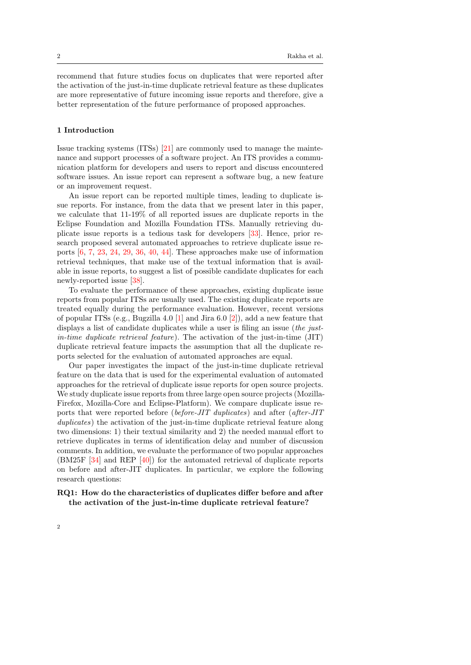recommend that future studies focus on duplicates that were reported after the activation of the just-in-time duplicate retrieval feature as these duplicates are more representative of future incoming issue reports and therefore, give a better representation of the future performance of proposed approaches.

#### 1 Introduction

Issue tracking systems (ITSs) [\[21\]](#page-25-0) are commonly used to manage the maintenance and support processes of a software project. An ITS provides a communication platform for developers and users to report and discuss encountered software issues. An issue report can represent a software bug, a new feature or an improvement request.

An issue report can be reported multiple times, leading to duplicate issue reports. For instance, from the data that we present later in this paper, we calculate that 11-19% of all reported issues are duplicate reports in the Eclipse Foundation and Mozilla Foundation ITSs. Manually retrieving duplicate issue reports is a tedious task for developers [\[33\]](#page-26-0). Hence, prior research proposed several automated approaches to retrieve duplicate issue reports [\[6,](#page-24-0) [7,](#page-24-1) [23,](#page-25-1) [24,](#page-25-2) [29,](#page-25-3) [36,](#page-26-1) [40,](#page-26-2) [44\]](#page-27-0). These approaches make use of information retrieval techniques, that make use of the textual information that is available in issue reports, to suggest a list of possible candidate duplicates for each newly-reported issue [\[38\]](#page-26-3).

To evaluate the performance of these approaches, existing duplicate issue reports from popular ITSs are usually used. The existing duplicate reports are treated equally during the performance evaluation. However, recent versions of popular ITSs (e.g., Bugzilla 4.0 [\[1\]](#page-23-0) and Jira 6.0 [\[2\]](#page-23-1)), add a new feature that displays a list of candidate duplicates while a user is filing an issue (the justin-time duplicate retrieval feature). The activation of the just-in-time (JIT) duplicate retrieval feature impacts the assumption that all the duplicate reports selected for the evaluation of automated approaches are equal.

Our paper investigates the impact of the just-in-time duplicate retrieval feature on the data that is used for the experimental evaluation of automated approaches for the retrieval of duplicate issue reports for open source projects. We study duplicate issue reports from three large open source projects (Mozilla-Firefox, Mozilla-Core and Eclipse-Platform). We compare duplicate issue reports that were reported before (before-JIT duplicates) and after (after-JIT duplicates) the activation of the just-in-time duplicate retrieval feature along two dimensions: 1) their textual similarity and 2) the needed manual effort to retrieve duplicates in terms of identification delay and number of discussion comments. In addition, we evaluate the performance of two popular approaches (BM25F [\[34\]](#page-26-4) and REP [\[40\]](#page-26-2)) for the automated retrieval of duplicate reports on before and after-JIT duplicates. In particular, we explore the following research questions:

## RQ1: How do the characteristics of duplicates differ before and after the activation of the just-in-time duplicate retrieval feature?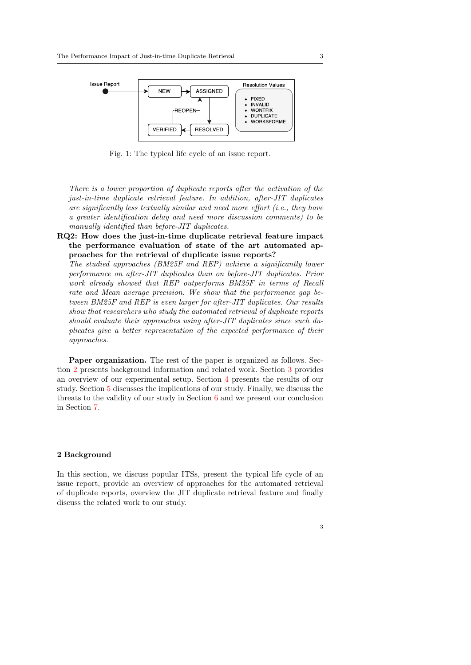<span id="page-2-1"></span>

Fig. 1: The typical life cycle of an issue report.

There is a lower proportion of duplicate reports after the activation of the just-in-time duplicate retrieval feature. In addition, after-JIT duplicates are significantly less textually similar and need more effort (i.e., they have a greater identification delay and need more discussion comments) to be manually identified than before-JIT duplicates.

RQ2: How does the just-in-time duplicate retrieval feature impact the performance evaluation of state of the art automated approaches for the retrieval of duplicate issue reports?

The studied approaches (BM25F and REP) achieve a significantly lower performance on after-JIT duplicates than on before-JIT duplicates. Prior work already showed that REP outperforms BM25F in terms of Recall rate and Mean average precision. We show that the performance gap between BM25F and REP is even larger for after-JIT duplicates. Our results show that researchers who study the automated retrieval of duplicate reports should evaluate their approaches using after-JIT duplicates since such duplicates give a better representation of the expected performance of their approaches.

Paper organization. The rest of the paper is organized as follows. Section [2](#page-2-0) presents background information and related work. Section [3](#page-9-0) provides an overview of our experimental setup. Section [4](#page-12-0) presents the results of our study. Section [5](#page-20-0) discusses the implications of our study. Finally, we discuss the threats to the validity of our study in Section [6](#page-21-0) and we present our conclusion in Section [7.](#page-22-0)

## <span id="page-2-0"></span>2 Background

In this section, we discuss popular ITSs, present the typical life cycle of an issue report, provide an overview of approaches for the automated retrieval of duplicate reports, overview the JIT duplicate retrieval feature and finally discuss the related work to our study.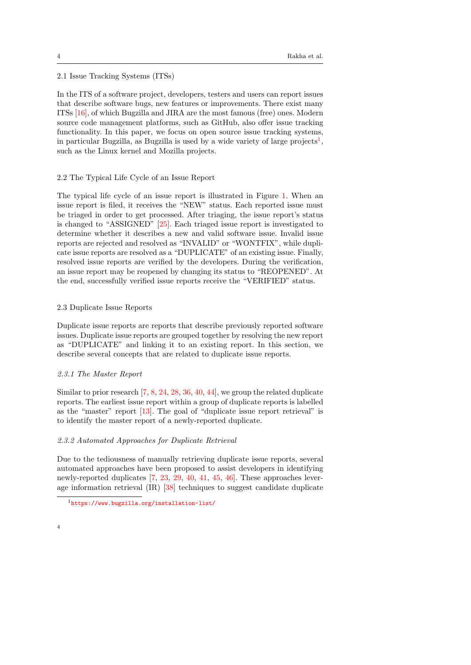## 2.1 Issue Tracking Systems (ITSs)

In the ITS of a software project, developers, testers and users can report issues that describe software bugs, new features or improvements. There exist many ITSs [\[16\]](#page-24-2), of which Bugzilla and JIRA are the most famous (free) ones. Modern source code management platforms, such as GitHub, also offer issue tracking functionality. In this paper, we focus on open source issue tracking systems, in particular Bugzilla, as Bugzilla is used by a wide variety of large projects<sup>[1](#page-0-0)</sup>, such as the Linux kernel and Mozilla projects.

## 2.2 The Typical Life Cycle of an Issue Report

The typical life cycle of an issue report is illustrated in Figure [1.](#page-2-1) When an issue report is filed, it receives the "NEW" status. Each reported issue must be triaged in order to get processed. After triaging, the issue report's status is changed to "ASSIGNED" [\[25\]](#page-25-4). Each triaged issue report is investigated to determine whether it describes a new and valid software issue. Invalid issue reports are rejected and resolved as "INVALID" or "WONTFIX", while duplicate issue reports are resolved as a "DUPLICATE" of an existing issue. Finally, resolved issue reports are verified by the developers. During the verification, an issue report may be reopened by changing its status to "REOPENED". At the end, successfully verified issue reports receive the "VERIFIED" status.

## 2.3 Duplicate Issue Reports

Duplicate issue reports are reports that describe previously reported software issues. Duplicate issue reports are grouped together by resolving the new report as "DUPLICATE" and linking it to an existing report. In this section, we describe several concepts that are related to duplicate issue reports.

#### 2.3.1 The Master Report

Similar to prior research [\[7,](#page-24-1) [8,](#page-24-3) [24,](#page-25-2) [28,](#page-25-5) [36,](#page-26-1) [40,](#page-26-2) [44\]](#page-27-0), we group the related duplicate reports. The earliest issue report within a group of duplicate reports is labelled as the "master" report [\[13\]](#page-24-4). The goal of "duplicate issue report retrieval" is to identify the master report of a newly-reported duplicate.

## 2.3.2 Automated Approaches for Duplicate Retrieval

Due to the tediousness of manually retrieving duplicate issue reports, several automated approaches have been proposed to assist developers in identifying newly-reported duplicates [\[7,](#page-24-1) [23,](#page-25-1) [29,](#page-25-3) [40,](#page-26-2) [41,](#page-26-5) [45,](#page-27-1) [46\]](#page-27-2). These approaches leverage information retrieval (IR) [\[38\]](#page-26-3) techniques to suggest candidate duplicate

<sup>1</sup><https://www.bugzilla.org/installation-list/>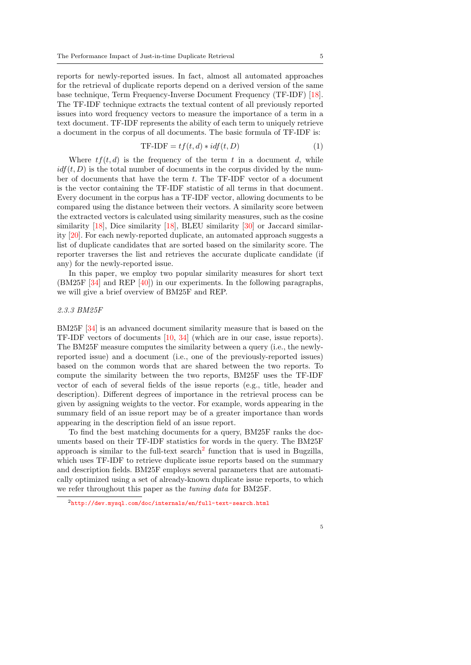reports for newly-reported issues. In fact, almost all automated approaches for the retrieval of duplicate reports depend on a derived version of the same base technique, Term Frequency-Inverse Document Frequency (TF-IDF) [\[18\]](#page-25-6). The TF-IDF technique extracts the textual content of all previously reported issues into word frequency vectors to measure the importance of a term in a text document. TF-IDF represents the ability of each term to uniquely retrieve a document in the corpus of all documents. The basic formula of TF-IDF is:

$$
TF-IDF = tf(t, d) * idf(t, D)
$$
\n<sup>(1)</sup>

Where  $tf(t, d)$  is the frequency of the term t in a document d, while  $i df(t, D)$  is the total number of documents in the corpus divided by the number of documents that have the term  $t$ . The TF-IDF vector of a document is the vector containing the TF-IDF statistic of all terms in that document. Every document in the corpus has a TF-IDF vector, allowing documents to be compared using the distance between their vectors. A similarity score between the extracted vectors is calculated using similarity measures, such as the cosine similarity [\[18\]](#page-25-6), Dice similarity [18], BLEU similarity [\[30\]](#page-25-7) or Jaccard similarity [\[20\]](#page-25-8). For each newly-reported duplicate, an automated approach suggests a list of duplicate candidates that are sorted based on the similarity score. The reporter traverses the list and retrieves the accurate duplicate candidate (if any) for the newly-reported issue.

In this paper, we employ two popular similarity measures for short text (BM25F [\[34\]](#page-26-4) and REP [\[40\]](#page-26-2)) in our experiments. In the following paragraphs, we will give a brief overview of BM25F and REP.

## 2.3.3 BM25F

BM25F [\[34\]](#page-26-4) is an advanced document similarity measure that is based on the TF-IDF vectors of documents [\[10,](#page-24-5) [34\]](#page-26-4) (which are in our case, issue reports). The BM25F measure computes the similarity between a query (i.e., the newlyreported issue) and a document (i.e., one of the previously-reported issues) based on the common words that are shared between the two reports. To compute the similarity between the two reports, BM25F uses the TF-IDF vector of each of several fields of the issue reports (e.g., title, header and description). Different degrees of importance in the retrieval process can be given by assigning weights to the vector. For example, words appearing in the summary field of an issue report may be of a greater importance than words appearing in the description field of an issue report.

To find the best matching documents for a query, BM25F ranks the documents based on their TF-IDF statistics for words in the query. The BM25F approach is similar to the full-text search<sup>[2](#page-0-0)</sup> function that is used in Bugzilla, which uses TF-IDF to retrieve duplicate issue reports based on the summary and description fields. BM25F employs several parameters that are automatically optimized using a set of already-known duplicate issue reports, to which we refer throughout this paper as the tuning data for BM25F.

<sup>2</sup><http://dev.mysql.com/doc/internals/en/full-text-search.html>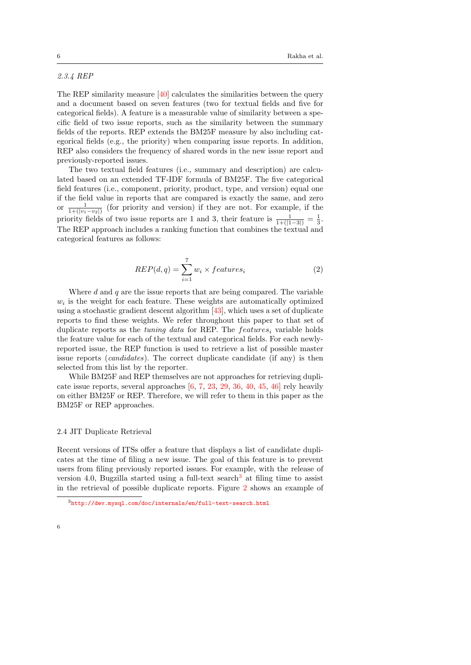# 2.3.4 REP

The REP similarity measure [\[40\]](#page-26-2) calculates the similarities between the query and a document based on seven features (two for textual fields and five for categorical fields). A feature is a measurable value of similarity between a specific field of two issue reports, such as the similarity between the summary fields of the reports. REP extends the BM25F measure by also including categorical fields (e.g., the priority) when comparing issue reports. In addition, REP also considers the frequency of shared words in the new issue report and previously-reported issues.

The two textual field features (i.e., summary and description) are calculated based on an extended TF-IDF formula of BM25F. The five categorical field features (i.e., component, priority, product, type, and version) equal one if the field value in reports that are compared is exactly the same, and zero or  $\frac{1}{1+(|v_1-v_2|)}$  (for priority and version) if they are not. For example, if the priority fields of two issue reports are 1 and 3, their feature is  $\frac{1}{1+((1-3))} = \frac{1}{3}$ . The REP approach includes a ranking function that combines the textual and categorical features as follows:

$$
REP(d, q) = \sum_{i=1}^{7} w_i \times features_i
$$
 (2)

Where  $d$  and  $q$  are the issue reports that are being compared. The variable  $w<sub>i</sub>$  is the weight for each feature. These weights are automatically optimized using a stochastic gradient descent algorithm [\[43\]](#page-27-3), which uses a set of duplicate reports to find these weights. We refer throughout this paper to that set of duplicate reports as the tuning data for REP. The features<sub>i</sub> variable holds the feature value for each of the textual and categorical fields. For each newlyreported issue, the REP function is used to retrieve a list of possible master issue reports *(candidates)*. The correct duplicate candidate *(if any)* is then selected from this list by the reporter.

While BM25F and REP themselves are not approaches for retrieving duplicate issue reports, several approaches [\[6,](#page-24-0) [7,](#page-24-1) [23,](#page-25-1) [29,](#page-25-3) [36,](#page-26-1) [40,](#page-26-2) [45,](#page-27-1) [46\]](#page-27-2) rely heavily on either BM25F or REP. Therefore, we will refer to them in this paper as the BM25F or REP approaches.

#### <span id="page-5-0"></span>2.4 JIT Duplicate Retrieval

Recent versions of ITSs offer a feature that displays a list of candidate duplicates at the time of filing a new issue. The goal of this feature is to prevent users from filing previously reported issues. For example, with the release of version 4.0, Bugzilla started using a full-text search<sup>[3](#page-0-0)</sup> at filing time to assist in the retrieval of possible duplicate reports. Figure [2](#page-6-0) shows an example of

 $3$ <http://dev.mysql.com/doc/internals/en/full-text-search.html>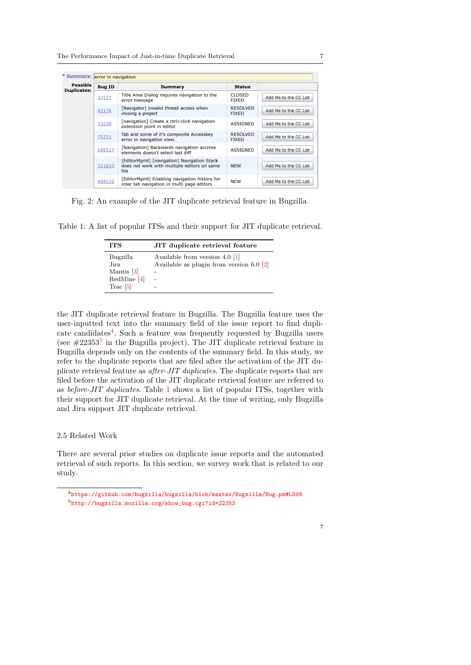<span id="page-6-0"></span>

| * Summary: error in navigation |               |                                                                                                   |                                 |                       |  |  |
|--------------------------------|---------------|---------------------------------------------------------------------------------------------------|---------------------------------|-----------------------|--|--|
| Possible<br><b>Duplicates:</b> | <b>Bug ID</b> | Summary                                                                                           | <b>Status</b>                   |                       |  |  |
|                                | 37277         | Title Area Dialog requires navigation to the<br>error message                                     | <b>CLOSED</b><br><b>FIXED</b>   | Add Me to the CC List |  |  |
|                                | 42176         | [Navigator] Invalid thread access when<br>closing a project                                       | <b>RESOLVED</b><br><b>FIXED</b> | Add Me to the CC List |  |  |
|                                | 73238         | [navigation] Create a ctrl+click navigation<br>extension point in editor                          | <b>ASSIGNED</b>                 | Add Me to the CC List |  |  |
|                                | 75271         | Tab and some of it's composite Accesskey<br>error in navigation view.                             | <b>RESOLVED</b><br><b>FIXED</b> | Add Me to the CC List |  |  |
|                                | 165527        | [Navigation] Backwards navigation accross<br>elements doesn't select last diff                    | <b>ASSIGNED</b>                 | Add Me to the CC List |  |  |
|                                | 321833        | [EditorMgmt] [navigation] Navigation Stack<br>does not work with multiple editors on same<br>file | <b>NFW</b>                      | Add Me to the CC List |  |  |
|                                | 404535        | [EditorMamt] Enabling navigation history for<br>inter tab navigation in multi page editors        | <b>NEW</b>                      | Add Me to the CC List |  |  |

Fig. 2: An example of the JIT duplicate retrieval feature in Bugzilla.

<span id="page-6-1"></span>Table 1: A list of popular ITSs and their support for JIT duplicate retrieval.

| <b>ITS</b>         | JIT duplicate retrieval feature            |
|--------------------|--------------------------------------------|
| Bugzilla           | Available from version $4.0$ [1]           |
| Jira<br>Mantis [3] | Available as plugin from version $6.0$ [2] |
| $Red$ Mine [4]     |                                            |
| Trac $[5]$         |                                            |

the JIT duplicate retrieval feature in Bugzilla. The Bugzilla feature uses the user-inputted text into the summary field of the issue report to find dupli-cate candidates<sup>[4](#page-0-0)</sup>. Such a feature was frequently requested by Bugzilla users (see  $\#22353^5$  $\#22353^5$  $\#22353^5$  in the Bugzilla project). The JIT duplicate retrieval feature in Bugzilla depends only on the contents of the summary field. In this study, we refer to the duplicate reports that are filed after the activation of the JIT duplicate retrieval feature as after-JIT duplicates. The duplicate reports that are filed before the activation of the JIT duplicate retrieval feature are referred to as before-JIT duplicates. Table [1](#page-6-1) shows a list of popular ITSs, together with their support for JIT duplicate retrieval. At the time of writing, only Bugzilla and Jira support JIT duplicate retrieval.

## 2.5 Related Work

There are several prior studies on duplicate issue reports and the automated retrieval of such reports. In this section, we survey work that is related to our study.

<sup>4</sup><https://github.com/bugzilla/bugzilla/blob/master/Bugzilla/Bug.pm#L599> <sup>5</sup>[http://bugzilla.mozilla.org/show\\_bug.cgi?id=22353](http://bugzilla.mozilla.org/show_bug.cgi?id=22353)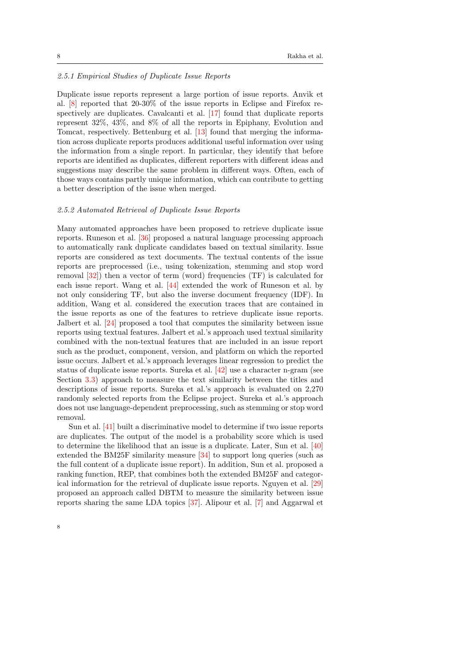## 2.5.1 Empirical Studies of Duplicate Issue Reports

Duplicate issue reports represent a large portion of issue reports. Anvik et al. [\[8\]](#page-24-3) reported that 20-30% of the issue reports in Eclipse and Firefox respectively are duplicates. Cavalcanti et al. [\[17\]](#page-25-9) found that duplicate reports represent 32%, 43%, and 8% of all the reports in Epiphany, Evolution and Tomcat, respectively. Bettenburg et al. [\[13\]](#page-24-4) found that merging the information across duplicate reports produces additional useful information over using the information from a single report. In particular, they identify that before reports are identified as duplicates, different reporters with different ideas and suggestions may describe the same problem in different ways. Often, each of those ways contains partly unique information, which can contribute to getting a better description of the issue when merged.

#### 2.5.2 Automated Retrieval of Duplicate Issue Reports

Many automated approaches have been proposed to retrieve duplicate issue reports. Runeson et al. [\[36\]](#page-26-1) proposed a natural language processing approach to automatically rank duplicate candidates based on textual similarity. Issue reports are considered as text documents. The textual contents of the issue reports are preprocessed (i.e., using tokenization, stemming and stop word removal [\[32\]](#page-26-6)) then a vector of term (word) frequencies (TF) is calculated for each issue report. Wang et al. [\[44\]](#page-27-0) extended the work of Runeson et al. by not only considering TF, but also the inverse document frequency (IDF). In addition, Wang et al. considered the execution traces that are contained in the issue reports as one of the features to retrieve duplicate issue reports. Jalbert et al. [\[24\]](#page-25-2) proposed a tool that computes the similarity between issue reports using textual features. Jalbert et al.'s approach used textual similarity combined with the non-textual features that are included in an issue report such as the product, component, version, and platform on which the reported issue occurs. Jalbert et al.'s approach leverages linear regression to predict the status of duplicate issue reports. Sureka et al. [\[42\]](#page-26-7) use a character n-gram (see Section [3.3\)](#page-11-0) approach to measure the text similarity between the titles and descriptions of issue reports. Sureka et al.'s approach is evaluated on 2,270 randomly selected reports from the Eclipse project. Sureka et al.'s approach does not use language-dependent preprocessing, such as stemming or stop word removal.

Sun et al. [\[41\]](#page-26-5) built a discriminative model to determine if two issue reports are duplicates. The output of the model is a probability score which is used to determine the likelihood that an issue is a duplicate. Later, Sun et al. [\[40\]](#page-26-2) extended the BM25F similarity measure [\[34\]](#page-26-4) to support long queries (such as the full content of a duplicate issue report). In addition, Sun et al. proposed a ranking function, REP, that combines both the extended BM25F and categorical information for the retrieval of duplicate issue reports. Nguyen et al. [\[29\]](#page-25-3) proposed an approach called DBTM to measure the similarity between issue reports sharing the same LDA topics [\[37\]](#page-26-8). Alipour et al. [\[7\]](#page-24-1) and Aggarwal et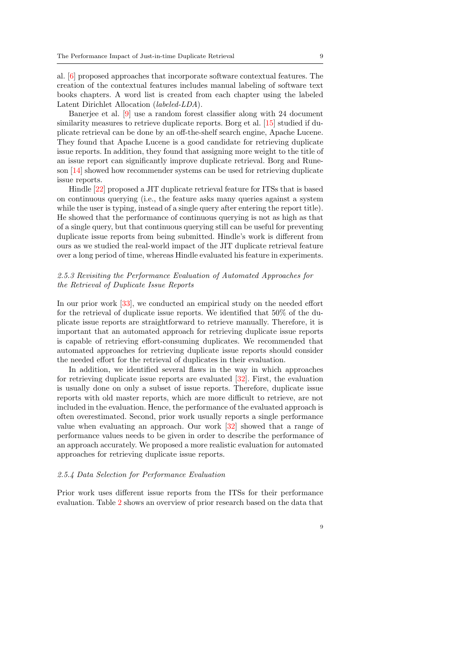al. [\[6\]](#page-24-0) proposed approaches that incorporate software contextual features. The creation of the contextual features includes manual labeling of software text books chapters. A word list is created from each chapter using the labeled Latent Dirichlet Allocation (labeled-LDA).

Banerjee et al. [\[9\]](#page-24-9) use a random forest classifier along with 24 document similarity measures to retrieve duplicate reports. Borg et al. [\[15\]](#page-24-10) studied if duplicate retrieval can be done by an off-the-shelf search engine, Apache Lucene. They found that Apache Lucene is a good candidate for retrieving duplicate issue reports. In addition, they found that assigning more weight to the title of an issue report can significantly improve duplicate retrieval. Borg and Runeson [\[14\]](#page-24-11) showed how recommender systems can be used for retrieving duplicate issue reports.

Hindle [\[22\]](#page-25-10) proposed a JIT duplicate retrieval feature for ITSs that is based on continuous querying (i.e., the feature asks many queries against a system while the user is typing, instead of a single query after entering the report title). He showed that the performance of continuous querying is not as high as that of a single query, but that continuous querying still can be useful for preventing duplicate issue reports from being submitted. Hindle's work is different from ours as we studied the real-world impact of the JIT duplicate retrieval feature over a long period of time, whereas Hindle evaluated his feature in experiments.

# 2.5.3 Revisiting the Performance Evaluation of Automated Approaches for the Retrieval of Duplicate Issue Reports

In our prior work [\[33\]](#page-26-0), we conducted an empirical study on the needed effort for the retrieval of duplicate issue reports. We identified that 50% of the duplicate issue reports are straightforward to retrieve manually. Therefore, it is important that an automated approach for retrieving duplicate issue reports is capable of retrieving effort-consuming duplicates. We recommended that automated approaches for retrieving duplicate issue reports should consider the needed effort for the retrieval of duplicates in their evaluation.

In addition, we identified several flaws in the way in which approaches for retrieving duplicate issue reports are evaluated [\[32\]](#page-26-6). First, the evaluation is usually done on only a subset of issue reports. Therefore, duplicate issue reports with old master reports, which are more difficult to retrieve, are not included in the evaluation. Hence, the performance of the evaluated approach is often overestimated. Second, prior work usually reports a single performance value when evaluating an approach. Our work [\[32\]](#page-26-6) showed that a range of performance values needs to be given in order to describe the performance of an approach accurately. We proposed a more realistic evaluation for automated approaches for retrieving duplicate issue reports.

## 2.5.4 Data Selection for Performance Evaluation

Prior work uses different issue reports from the ITSs for their performance evaluation. Table [2](#page-9-1) shows an overview of prior research based on the data that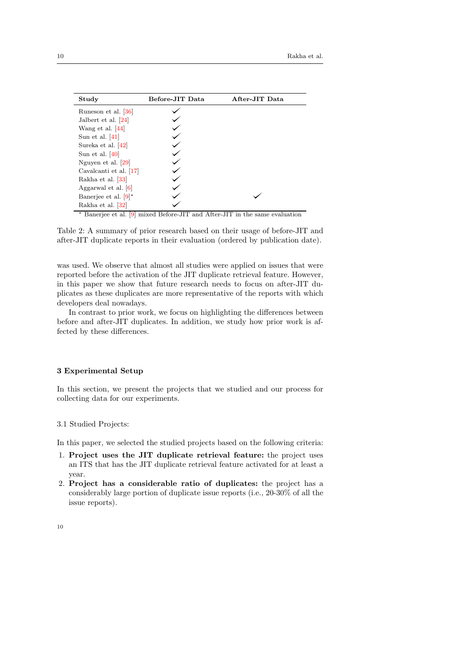<span id="page-9-1"></span>

| Study                   | Before-JIT Data | After-JIT Data |
|-------------------------|-----------------|----------------|
| Runeson et al. [36]     |                 |                |
| Jalbert et al. $[24]$   |                 |                |
| Wang et al. $[44]$      |                 |                |
| Sun et al. $ 41 $       |                 |                |
| Sureka et al. [42]      |                 |                |
| Sun et al. $ 40 $       |                 |                |
| Nguyen et al. $[29]$    |                 |                |
| Cavalcanti et al. [17]  |                 |                |
| Rakha et al. [33]       |                 |                |
| Aggarwal et al. $[6]$   |                 |                |
| Banerjee et al. $[9]^*$ |                 |                |
| Rakha et al. [32]       |                 |                |

<sup>∗</sup> Banerjee et al. [\[9\]](#page-24-9) mixed Before-JIT and After-JIT in the same evaluation

Table 2: A summary of prior research based on their usage of before-JIT and after-JIT duplicate reports in their evaluation (ordered by publication date).

was used. We observe that almost all studies were applied on issues that were reported before the activation of the JIT duplicate retrieval feature. However, in this paper we show that future research needs to focus on after-JIT duplicates as these duplicates are more representative of the reports with which developers deal nowadays.

In contrast to prior work, we focus on highlighting the differences between before and after-JIT duplicates. In addition, we study how prior work is affected by these differences.

## <span id="page-9-0"></span>3 Experimental Setup

In this section, we present the projects that we studied and our process for collecting data for our experiments.

#### <span id="page-9-2"></span>3.1 Studied Projects:

In this paper, we selected the studied projects based on the following criteria:

- 1. Project uses the JIT duplicate retrieval feature: the project uses an ITS that has the JIT duplicate retrieval feature activated for at least a year.
- 2. Project has a considerable ratio of duplicates: the project has a considerably large portion of duplicate issue reports (i.e., 20-30% of all the issue reports).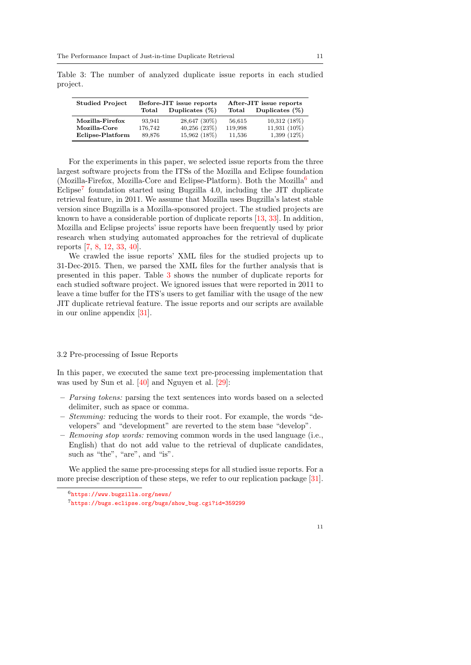Studied Project Before-JIT issue reports After-JIT issue reports Total Duplicates (%) Total Duplicates (%) Mozilla-Firefox 93,941 28,647 (30%) 56,615 10,312 (18%)<br>Mozilla-Core 176,742 40,256 (23%) 119,998 11,931 (10%) Mozilla-Core 176,742 40,256 (23%) 119,998 11,931 (10%)<br>
Eclipse-Platform 89.876 15.962 (18%) 11.536 1.399 (12%) Eclipse-Platform

<span id="page-10-0"></span>Table 3: The number of analyzed duplicate issue reports in each studied project.

For the experiments in this paper, we selected issue reports from the three largest software projects from the ITSs of the Mozilla and Eclipse foundation (Mozilla-Firefox, Mozilla-Core and Eclipse-Platform). Both the Mozilla<sup>[6](#page-0-0)</sup> and Eclipse<sup>[7](#page-0-0)</sup> foundation started using Bugzilla 4.0, including the JIT duplicate retrieval feature, in 2011. We assume that Mozilla uses Bugzilla's latest stable version since Bugzilla is a Mozilla-sponsored project. The studied projects are known to have a considerable portion of duplicate reports [\[13,](#page-24-4) [33\]](#page-26-0). In addition, Mozilla and Eclipse projects' issue reports have been frequently used by prior research when studying automated approaches for the retrieval of duplicate reports [\[7,](#page-24-1) [8,](#page-24-3) [12,](#page-24-12) [33,](#page-26-0) [40\]](#page-26-2).

We crawled the issue reports' XML files for the studied projects up to 31-Dec-2015. Then, we parsed the XML files for the further analysis that is presented in this paper. Table [3](#page-10-0) shows the number of duplicate reports for each studied software project. We ignored issues that were reported in 2011 to leave a time buffer for the ITS's users to get familiar with the usage of the new JIT duplicate retrieval feature. The issue reports and our scripts are available in our online appendix [\[31\]](#page-25-11).

#### 3.2 Pre-processing of Issue Reports

In this paper, we executed the same text pre-processing implementation that was used by Sun et al. [\[40\]](#page-26-2) and Nguyen et al. [\[29\]](#page-25-3):

- Parsing tokens: parsing the text sentences into words based on a selected delimiter, such as space or comma.
- Stemming: reducing the words to their root. For example, the words "developers" and "development" are reverted to the stem base "develop".
- Removing stop words: removing common words in the used language (i.e., English) that do not add value to the retrieval of duplicate candidates, such as "the", "are", and "is".

We applied the same pre-processing steps for all studied issue reports. For a more precise description of these steps, we refer to our replication package [\[31\]](#page-25-11).

 $6$ <https://www.bugzilla.org/news/>

<sup>7</sup>[https://bugs.eclipse.org/bugs/show\\_bug.cgi?id=359299](https://bugs.eclipse.org/bugs/show_bug.cgi?id=359299)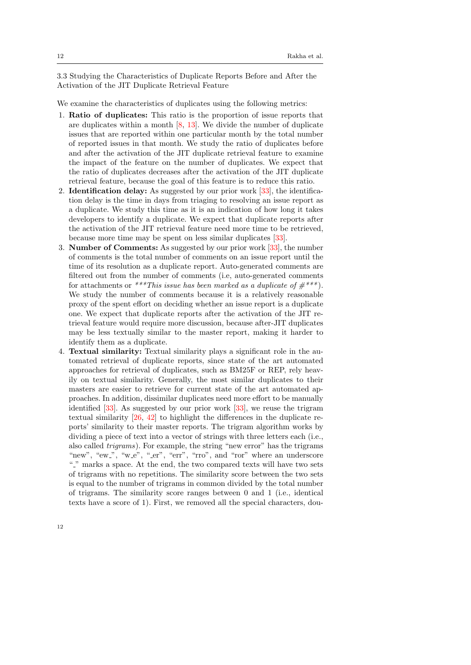<span id="page-11-0"></span>3.3 Studying the Characteristics of Duplicate Reports Before and After the Activation of the JIT Duplicate Retrieval Feature

We examine the characteristics of duplicates using the following metrics:

- 1. Ratio of duplicates: This ratio is the proportion of issue reports that are duplicates within a month  $[8, 13]$  $[8, 13]$  $[8, 13]$ . We divide the number of duplicate issues that are reported within one particular month by the total number of reported issues in that month. We study the ratio of duplicates before and after the activation of the JIT duplicate retrieval feature to examine the impact of the feature on the number of duplicates. We expect that the ratio of duplicates decreases after the activation of the JIT duplicate retrieval feature, because the goal of this feature is to reduce this ratio.
- 2. Identification delay: As suggested by our prior work [\[33\]](#page-26-0), the identification delay is the time in days from triaging to resolving an issue report as a duplicate. We study this time as it is an indication of how long it takes developers to identify a duplicate. We expect that duplicate reports after the activation of the JIT retrieval feature need more time to be retrieved, because more time may be spent on less similar duplicates [\[33\]](#page-26-0).
- 3. Number of Comments: As suggested by our prior work [\[33\]](#page-26-0), the number of comments is the total number of comments on an issue report until the time of its resolution as a duplicate report. Auto-generated comments are filtered out from the number of comments (i.e, auto-generated comments for attachments or \*\*\*This issue has been marked as a duplicate of  $\#^{***}$ ). We study the number of comments because it is a relatively reasonable proxy of the spent effort on deciding whether an issue report is a duplicate one. We expect that duplicate reports after the activation of the JIT retrieval feature would require more discussion, because after-JIT duplicates may be less textually similar to the master report, making it harder to identify them as a duplicate.
- 4. Textual similarity: Textual similarity plays a significant role in the automated retrieval of duplicate reports, since state of the art automated approaches for retrieval of duplicates, such as BM25F or REP, rely heavily on textual similarity. Generally, the most similar duplicates to their masters are easier to retrieve for current state of the art automated approaches. In addition, dissimilar duplicates need more effort to be manually identified [\[33\]](#page-26-0). As suggested by our prior work [\[33\]](#page-26-0), we reuse the trigram textual similarity [\[26,](#page-25-12) [42\]](#page-26-7) to highlight the differences in the duplicate reports' similarity to their master reports. The trigram algorithm works by dividing a piece of text into a vector of strings with three letters each (i.e., also called trigrams). For example, the string "new error" has the trigrams "new", "ew\_", "w\_e", "\_er", "err", "rro", and "ror" where an underscore "." marks a space. At the end, the two compared texts will have two sets of trigrams with no repetitions. The similarity score between the two sets is equal to the number of trigrams in common divided by the total number of trigrams. The similarity score ranges between 0 and 1 (i.e., identical texts have a score of 1). First, we removed all the special characters, dou-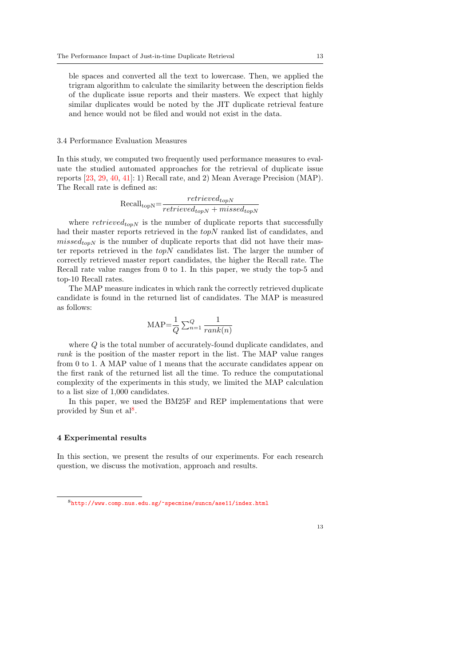ble spaces and converted all the text to lowercase. Then, we applied the trigram algorithm to calculate the similarity between the description fields of the duplicate issue reports and their masters. We expect that highly similar duplicates would be noted by the JIT duplicate retrieval feature and hence would not be filed and would not exist in the data.

#### 3.4 Performance Evaluation Measures

In this study, we computed two frequently used performance measures to evaluate the studied automated approaches for the retrieval of duplicate issue reports [\[23,](#page-25-1) [29,](#page-25-3) [40,](#page-26-2) [41\]](#page-26-5): 1) Recall rate, and 2) Mean Average Precision (MAP). The Recall rate is defined as:

$$
Recall_{\text{topN}} = \frac{retrieved_{topN}}{retrieved_{topN} + missed_{topN}}
$$

where  $retrieved<sub>topN</sub>$  is the number of duplicate reports that successfully had their master reports retrieved in the *topN* ranked list of candidates, and  $missed_{topN}$  is the number of duplicate reports that did not have their master reports retrieved in the  $topN$  candidates list. The larger the number of correctly retrieved master report candidates, the higher the Recall rate. The Recall rate value ranges from 0 to 1. In this paper, we study the top-5 and top-10 Recall rates.

The MAP measure indicates in which rank the correctly retrieved duplicate candidate is found in the returned list of candidates. The MAP is measured as follows:

$$
MAP = \frac{1}{Q} \sum_{n=1}^{Q} \frac{1}{rank(n)}
$$

where Q is the total number of accurately-found duplicate candidates, and rank is the position of the master report in the list. The MAP value ranges from 0 to 1. A MAP value of 1 means that the accurate candidates appear on the first rank of the returned list all the time. To reduce the computational complexity of the experiments in this study, we limited the MAP calculation to a list size of 1,000 candidates.

In this paper, we used the BM25F and REP implementations that were provided by Sun et al<sup>[8](#page-0-0)</sup>.

#### <span id="page-12-0"></span>4 Experimental results

In this section, we present the results of our experiments. For each research question, we discuss the motivation, approach and results.

<sup>8</sup><http://www.comp.nus.edu.sg/~specmine/suncn/ase11/index.html>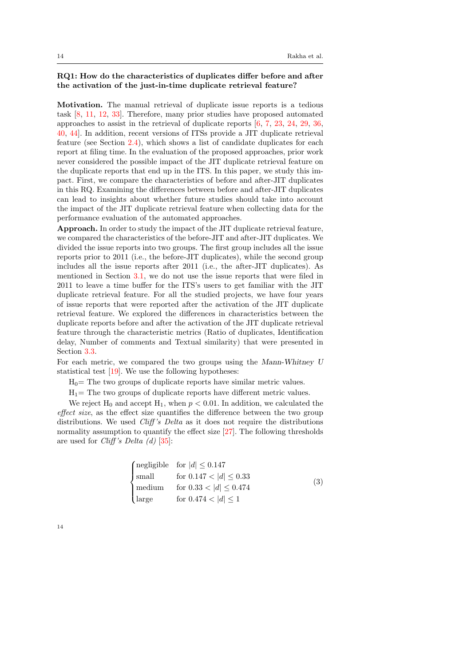# RQ1: How do the characteristics of duplicates differ before and after the activation of the just-in-time duplicate retrieval feature?

Motivation. The manual retrieval of duplicate issue reports is a tedious task [\[8,](#page-24-3) [11,](#page-24-13) [12,](#page-24-12) [33\]](#page-26-0). Therefore, many prior studies have proposed automated approaches to assist in the retrieval of duplicate reports [\[6,](#page-24-0) [7,](#page-24-1) [23,](#page-25-1) [24,](#page-25-2) [29,](#page-25-3) [36,](#page-26-1) [40,](#page-26-2) [44\]](#page-27-0). In addition, recent versions of ITSs provide a JIT duplicate retrieval feature (see Section [2.4\)](#page-5-0), which shows a list of candidate duplicates for each report at filing time. In the evaluation of the proposed approaches, prior work never considered the possible impact of the JIT duplicate retrieval feature on the duplicate reports that end up in the ITS. In this paper, we study this impact. First, we compare the characteristics of before and after-JIT duplicates in this RQ. Examining the differences between before and after-JIT duplicates can lead to insights about whether future studies should take into account the impact of the JIT duplicate retrieval feature when collecting data for the performance evaluation of the automated approaches.

Approach. In order to study the impact of the JIT duplicate retrieval feature, we compared the characteristics of the before-JIT and after-JIT duplicates. We divided the issue reports into two groups. The first group includes all the issue reports prior to 2011 (i.e., the before-JIT duplicates), while the second group includes all the issue reports after 2011 (i.e., the after-JIT duplicates). As mentioned in Section [3.1,](#page-9-2) we do not use the issue reports that were filed in 2011 to leave a time buffer for the ITS's users to get familiar with the JIT duplicate retrieval feature. For all the studied projects, we have four years of issue reports that were reported after the activation of the JIT duplicate retrieval feature. We explored the differences in characteristics between the duplicate reports before and after the activation of the JIT duplicate retrieval feature through the characteristic metrics (Ratio of duplicates, Identification delay, Number of comments and Textual similarity) that were presented in Section [3.3.](#page-11-0)

For each metric, we compared the two groups using the Mann-Whitney U statistical test [\[19\]](#page-25-13). We use the following hypotheses:

 $H_0$ = The two groups of duplicate reports have similar metric values.

 $H_1$ = The two groups of duplicate reports have different metric values.

We reject H<sub>0</sub> and accept H<sub>1</sub>, when  $p < 0.01$ . In addition, we calculated the effect size, as the effect size quantifies the difference between the two group distributions. We used *Cliff's Delta* as it does not require the distributions normality assumption to quantify the effect size [\[27\]](#page-25-14). The following thresholds are used for *Cliff's Delta (d)* [\[35\]](#page-26-9):

|  | $\begin{cases} \text{negligible} & \text{for} \  d  \leq 0.147 \\ \text{small} & \text{for} \ 0.147 <  d  \leq 0.33 \\ \text{medium} & \text{for} \ 0.33 <  d  \leq 0.474 \end{cases}$ | (3) |
|--|----------------------------------------------------------------------------------------------------------------------------------------------------------------------------------------|-----|
|  | $\left  \text{large} \right $ for $0.474 <  d  \leq 1$                                                                                                                                 |     |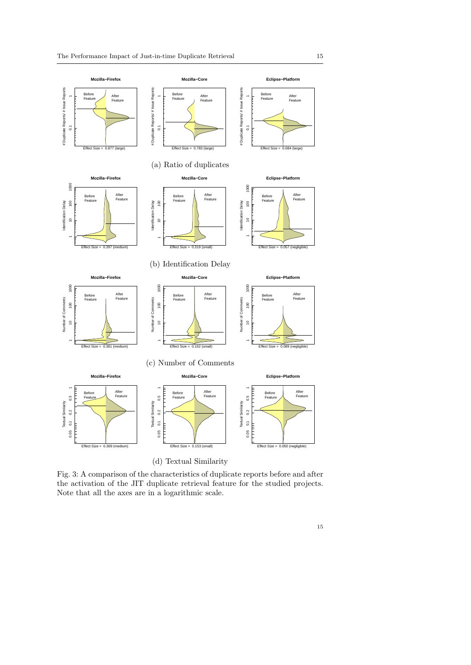<span id="page-14-3"></span><span id="page-14-2"></span><span id="page-14-1"></span><span id="page-14-0"></span>

Fig. 3: A comparison of the characteristics of duplicate reports before and after the activation of the JIT duplicate retrieval feature for the studied projects. Note that all the axes are in a logarithmic scale.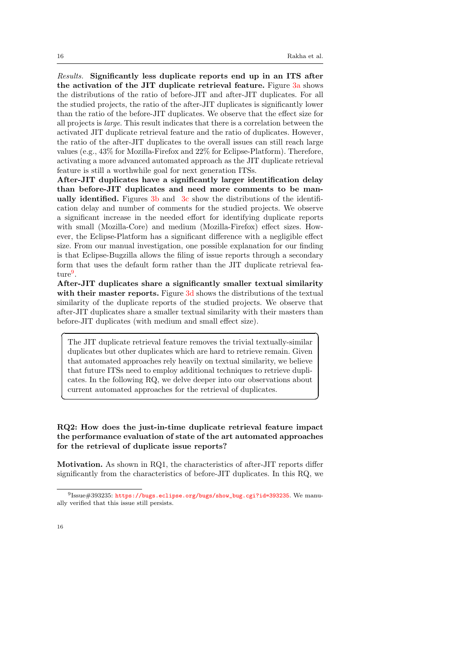☎

✆

Results. Significantly less duplicate reports end up in an ITS after the activation of the JIT duplicate retrieval feature. Figure [3a](#page-14-0) shows the distributions of the ratio of before-JIT and after-JIT duplicates. For all the studied projects, the ratio of the after-JIT duplicates is significantly lower than the ratio of the before-JIT duplicates. We observe that the effect size for all projects is large. This result indicates that there is a correlation between the activated JIT duplicate retrieval feature and the ratio of duplicates. However, the ratio of the after-JIT duplicates to the overall issues can still reach large values (e.g., 43% for Mozilla-Firefox and 22% for Eclipse-Platform). Therefore, activating a more advanced automated approach as the JIT duplicate retrieval feature is still a worthwhile goal for next generation ITSs.

After-JIT duplicates have a significantly larger identification delay than before-JIT duplicates and need more comments to be manually identified. Figures [3b](#page-14-1) and [3c](#page-14-2) show the distributions of the identification delay and number of comments for the studied projects. We observe a significant increase in the needed effort for identifying duplicate reports with small (Mozilla-Core) and medium (Mozilla-Firefox) effect sizes. However, the Eclipse-Platform has a significant difference with a negligible effect size. From our manual investigation, one possible explanation for our finding is that Eclipse-Bugzilla allows the filing of issue reports through a secondary form that uses the default form rather than the JIT duplicate retrieval fea- $\textrm{ture}^9$  $\textrm{ture}^9$ .

After-JIT duplicates share a significantly smaller textual similarity with their master reports. Figure [3d](#page-14-3) shows the distributions of the textual similarity of the duplicate reports of the studied projects. We observe that after-JIT duplicates share a smaller textual similarity with their masters than before-JIT duplicates (with medium and small effect size).

The JIT duplicate retrieval feature removes the trivial textually-similar duplicates but other duplicates which are hard to retrieve remain. Given that automated approaches rely heavily on textual similarity, we believe that future ITSs need to employ additional techniques to retrieve duplicates. In the following RQ, we delve deeper into our observations about current automated approaches for the retrieval of duplicates.

# RQ2: How does the just-in-time duplicate retrieval feature impact the performance evaluation of state of the art automated approaches for the retrieval of duplicate issue reports?

Motivation. As shown in RQ1, the characteristics of after-JIT reports differ significantly from the characteristics of before-JIT duplicates. In this RQ, we

 $\overline{a}$ 

✝

 $^{9}$ Issue $\# 393235$ : [https://bugs.eclipse.org/bugs/show\\_bug.cgi?id=393235](https://bugs.eclipse.org/bugs/show_bug.cgi?id=393235). We manually verified that this issue still persists.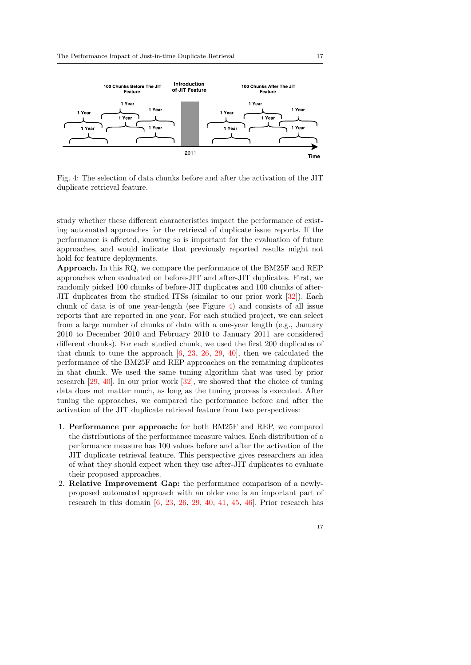<span id="page-16-0"></span>

Fig. 4: The selection of data chunks before and after the activation of the JIT duplicate retrieval feature.

study whether these different characteristics impact the performance of existing automated approaches for the retrieval of duplicate issue reports. If the performance is affected, knowing so is important for the evaluation of future approaches, and would indicate that previously reported results might not hold for feature deployments.

Approach. In this RQ, we compare the performance of the BM25F and REP approaches when evaluated on before-JIT and after-JIT duplicates. First, we randomly picked 100 chunks of before-JIT duplicates and 100 chunks of after-JIT duplicates from the studied ITSs (similar to our prior work [\[32\]](#page-26-6)). Each chunk of data is of one year-length (see Figure [4\)](#page-16-0) and consists of all issue reports that are reported in one year. For each studied project, we can select from a large number of chunks of data with a one-year length (e.g., January 2010 to December 2010 and February 2010 to January 2011 are considered different chunks). For each studied chunk, we used the first 200 duplicates of that chunk to tune the approach [\[6,](#page-24-0) [23,](#page-25-1) [26,](#page-25-12) [29,](#page-25-3) [40\]](#page-26-2), then we calculated the performance of the BM25F and REP approaches on the remaining duplicates in that chunk. We used the same tuning algorithm that was used by prior research [\[29,](#page-25-3) [40\]](#page-26-2). In our prior work [\[32\]](#page-26-6), we showed that the choice of tuning data does not matter much, as long as the tuning process is executed. After tuning the approaches, we compared the performance before and after the activation of the JIT duplicate retrieval feature from two perspectives:

- 1. Performance per approach: for both BM25F and REP, we compared the distributions of the performance measure values. Each distribution of a performance measure has 100 values before and after the activation of the JIT duplicate retrieval feature. This perspective gives researchers an idea of what they should expect when they use after-JIT duplicates to evaluate their proposed approaches.
- 2. Relative Improvement Gap: the performance comparison of a newlyproposed automated approach with an older one is an important part of research in this domain  $[6, 23, 26, 29, 40, 41, 45, 46]$  $[6, 23, 26, 29, 40, 41, 45, 46]$  $[6, 23, 26, 29, 40, 41, 45, 46]$  $[6, 23, 26, 29, 40, 41, 45, 46]$  $[6, 23, 26, 29, 40, 41, 45, 46]$  $[6, 23, 26, 29, 40, 41, 45, 46]$  $[6, 23, 26, 29, 40, 41, 45, 46]$  $[6, 23, 26, 29, 40, 41, 45, 46]$  $[6, 23, 26, 29, 40, 41, 45, 46]$  $[6, 23, 26, 29, 40, 41, 45, 46]$  $[6, 23, 26, 29, 40, 41, 45, 46]$  $[6, 23, 26, 29, 40, 41, 45, 46]$  $[6, 23, 26, 29, 40, 41, 45, 46]$  $[6, 23, 26, 29, 40, 41, 45, 46]$  $[6, 23, 26, 29, 40, 41, 45, 46]$ . Prior research has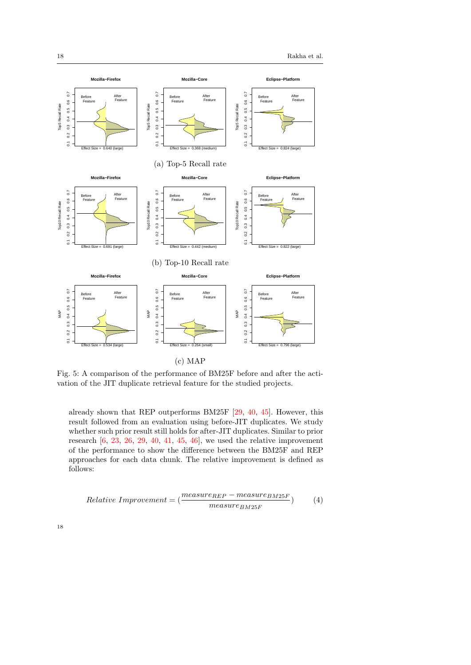<span id="page-17-0"></span>

(c) MAP

Fig. 5: A comparison of the performance of BM25F before and after the activation of the JIT duplicate retrieval feature for the studied projects.

already shown that REP outperforms BM25F [\[29,](#page-25-3) [40,](#page-26-2) [45\]](#page-27-1). However, this result followed from an evaluation using before-JIT duplicates. We study whether such prior result still holds for after-JIT duplicates. Similar to prior research  $[6, 23, 26, 29, 40, 41, 45, 46]$  $[6, 23, 26, 29, 40, 41, 45, 46]$  $[6, 23, 26, 29, 40, 41, 45, 46]$  $[6, 23, 26, 29, 40, 41, 45, 46]$  $[6, 23, 26, 29, 40, 41, 45, 46]$  $[6, 23, 26, 29, 40, 41, 45, 46]$  $[6, 23, 26, 29, 40, 41, 45, 46]$  $[6, 23, 26, 29, 40, 41, 45, 46]$  $[6, 23, 26, 29, 40, 41, 45, 46]$  $[6, 23, 26, 29, 40, 41, 45, 46]$  $[6, 23, 26, 29, 40, 41, 45, 46]$  $[6, 23, 26, 29, 40, 41, 45, 46]$  $[6, 23, 26, 29, 40, 41, 45, 46]$  $[6, 23, 26, 29, 40, 41, 45, 46]$  $[6, 23, 26, 29, 40, 41, 45, 46]$ , we used the relative improvement of the performance to show the difference between the BM25F and REP approaches for each data chunk. The relative improvement is defined as follows:

$$
Relative\;Improvement = (\frac{measure_{REP} - measure_{BM25F}}{measure_{BM25F}})
$$
(4)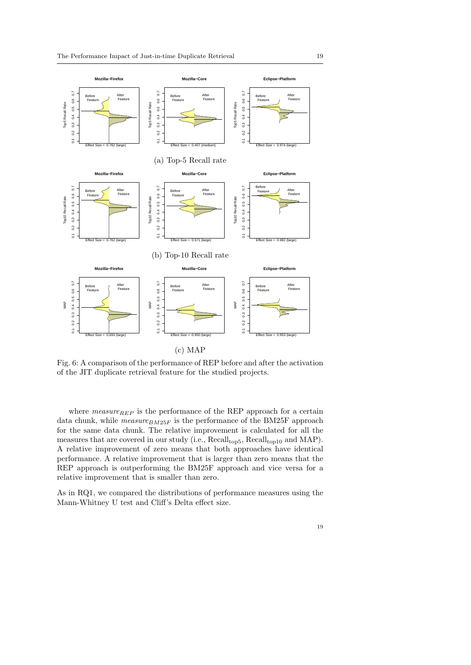<span id="page-18-0"></span>

Fig. 6: A comparison of the performance of REP before and after the activation of the JIT duplicate retrieval feature for the studied projects.

where  $measure_{REF}$  is the performance of the REP approach for a certain data chunk, while  $measure_{BM25F}$  is the performance of the BM25F approach for the same data chunk. The relative improvement is calculated for all the measures that are covered in our study (i.e.,  $Recall_{top5}$ ,  $Recall_{top10}$  and MAP). A relative improvement of zero means that both approaches have identical performance. A relative improvement that is larger than zero means that the REP approach is outperforming the BM25F approach and vice versa for a relative improvement that is smaller than zero.

As in RQ1, we compared the distributions of performance measures using the Mann-Whitney U test and Cliff's Delta effect size.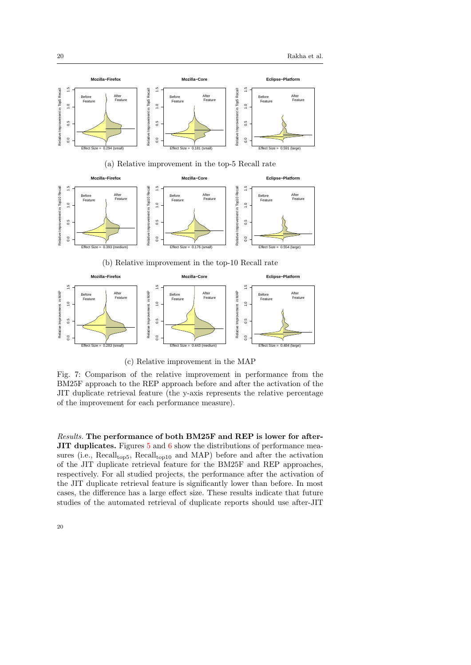<span id="page-19-0"></span>

0.0 0.5 1.0 1.5 0.0 0.5 1.0 1.5 Relative Improvement in MAP Relative Improvement in MAP Relative Improvement in MAP Relative Improvement in MAP  $0.5$  $0.5$  $0.5$  $\overline{0}$  $_{0.0}$ Effect Size = 0.283 (small) Effect Size = 0.443 (medium) Effect Size = 0.484 (large)

(c) Relative improvement in the MAP

Fig. 7: Comparison of the relative improvement in performance from the BM25F approach to the REP approach before and after the activation of the JIT duplicate retrieval feature (the y-axis represents the relative percentage of the improvement for each performance measure).

Results. The performance of both BM25F and REP is lower for after-JIT duplicates. Figures [5](#page-17-0) and [6](#page-18-0) show the distributions of performance measures (i.e.,  $Recall<sub>top5</sub>$ ,  $Recall<sub>top10</sub>$  and MAP) before and after the activation of the JIT duplicate retrieval feature for the BM25F and REP approaches, respectively. For all studied projects, the performance after the activation of the JIT duplicate retrieval feature is significantly lower than before. In most cases, the difference has a large effect size. These results indicate that future studies of the automated retrieval of duplicate reports should use after-JIT

 $\overline{0}$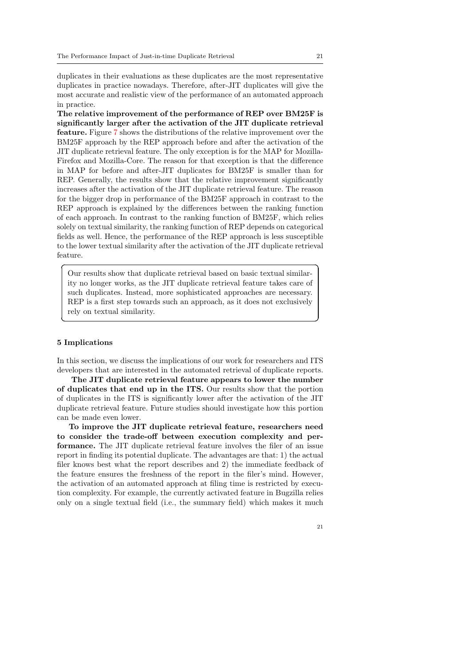duplicates in their evaluations as these duplicates are the most representative duplicates in practice nowadays. Therefore, after-JIT duplicates will give the most accurate and realistic view of the performance of an automated approach in practice.

The relative improvement of the performance of REP over BM25F is significantly larger after the activation of the JIT duplicate retrieval feature. Figure [7](#page-19-0) shows the distributions of the relative improvement over the BM25F approach by the REP approach before and after the activation of the JIT duplicate retrieval feature. The only exception is for the MAP for Mozilla-Firefox and Mozilla-Core. The reason for that exception is that the difference in MAP for before and after-JIT duplicates for BM25F is smaller than for REP. Generally, the results show that the relative improvement significantly increases after the activation of the JIT duplicate retrieval feature. The reason for the bigger drop in performance of the BM25F approach in contrast to the REP approach is explained by the differences between the ranking function of each approach. In contrast to the ranking function of BM25F, which relies solely on textual similarity, the ranking function of REP depends on categorical fields as well. Hence, the performance of the REP approach is less susceptible to the lower textual similarity after the activation of the JIT duplicate retrieval feature.

Our results show that duplicate retrieval based on basic textual similarity no longer works, as the JIT duplicate retrieval feature takes care of such duplicates. Instead, more sophisticated approaches are necessary. REP is a first step towards such an approach, as it does not exclusively rely on textual similarity.

#### <span id="page-20-0"></span>5 Implications

 $\overline{a}$ 

✝

In this section, we discuss the implications of our work for researchers and ITS developers that are interested in the automated retrieval of duplicate reports.

The JIT duplicate retrieval feature appears to lower the number of duplicates that end up in the ITS. Our results show that the portion of duplicates in the ITS is significantly lower after the activation of the JIT duplicate retrieval feature. Future studies should investigate how this portion can be made even lower.

To improve the JIT duplicate retrieval feature, researchers need to consider the trade-off between execution complexity and performance. The JIT duplicate retrieval feature involves the filer of an issue report in finding its potential duplicate. The advantages are that: 1) the actual filer knows best what the report describes and 2) the immediate feedback of the feature ensures the freshness of the report in the filer's mind. However, the activation of an automated approach at filing time is restricted by execution complexity. For example, the currently activated feature in Bugzilla relies only on a single textual field (i.e., the summary field) which makes it much

☎

✆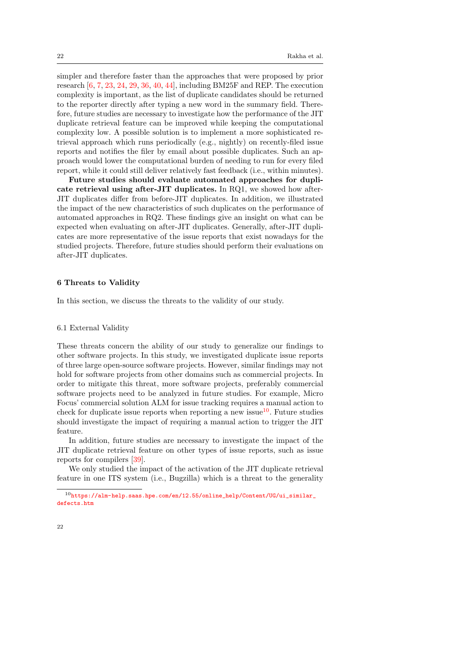simpler and therefore faster than the approaches that were proposed by prior research [\[6,](#page-24-0) [7,](#page-24-1) [23,](#page-25-1) [24,](#page-25-2) [29,](#page-25-3) [36,](#page-26-1) [40,](#page-26-2) [44\]](#page-27-0), including BM25F and REP. The execution complexity is important, as the list of duplicate candidates should be returned to the reporter directly after typing a new word in the summary field. Therefore, future studies are necessary to investigate how the performance of the JIT duplicate retrieval feature can be improved while keeping the computational complexity low. A possible solution is to implement a more sophisticated retrieval approach which runs periodically (e.g., nightly) on recently-filed issue reports and notifies the filer by email about possible duplicates. Such an approach would lower the computational burden of needing to run for every filed report, while it could still deliver relatively fast feedback (i.e., within minutes).

Future studies should evaluate automated approaches for duplicate retrieval using after-JIT duplicates. In RQ1, we showed how after-JIT duplicates differ from before-JIT duplicates. In addition, we illustrated the impact of the new characteristics of such duplicates on the performance of automated approaches in RQ2. These findings give an insight on what can be expected when evaluating on after-JIT duplicates. Generally, after-JIT duplicates are more representative of the issue reports that exist nowadays for the studied projects. Therefore, future studies should perform their evaluations on after-JIT duplicates.

## <span id="page-21-0"></span>6 Threats to Validity

In this section, we discuss the threats to the validity of our study.

#### 6.1 External Validity

These threats concern the ability of our study to generalize our findings to other software projects. In this study, we investigated duplicate issue reports of three large open-source software projects. However, similar findings may not hold for software projects from other domains such as commercial projects. In order to mitigate this threat, more software projects, preferably commercial software projects need to be analyzed in future studies. For example, Micro Focus' commercial solution ALM for issue tracking requires a manual action to check for duplicate issue reports when reporting a new issue<sup>[10](#page-0-0)</sup>. Future studies should investigate the impact of requiring a manual action to trigger the JIT feature.

In addition, future studies are necessary to investigate the impact of the JIT duplicate retrieval feature on other types of issue reports, such as issue reports for compilers [\[39\]](#page-26-10).

We only studied the impact of the activation of the JIT duplicate retrieval feature in one ITS system (i.e., Bugzilla) which is a threat to the generality

 $^{10}\rm{https://alm-help.saas.hpe.com/en/12.55/online_help/Content/UG/ui\_similar\_}$ [defects.htm](https://alm-help.saas.hpe.com/en/12.55/online_help/Content/UG/ui_similar_defects.htm)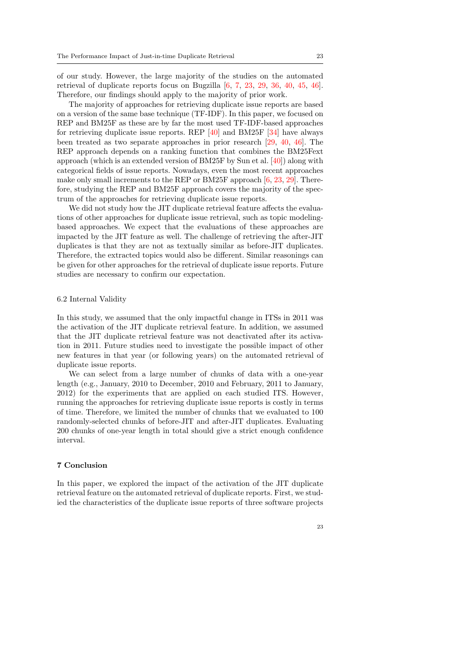of our study. However, the large majority of the studies on the automated retrieval of duplicate reports focus on Bugzilla  $[6, 7, 23, 29, 36, 40, 45, 46]$  $[6, 7, 23, 29, 36, 40, 45, 46]$  $[6, 7, 23, 29, 36, 40, 45, 46]$  $[6, 7, 23, 29, 36, 40, 45, 46]$  $[6, 7, 23, 29, 36, 40, 45, 46]$  $[6, 7, 23, 29, 36, 40, 45, 46]$  $[6, 7, 23, 29, 36, 40, 45, 46]$  $[6, 7, 23, 29, 36, 40, 45, 46]$  $[6, 7, 23, 29, 36, 40, 45, 46]$  $[6, 7, 23, 29, 36, 40, 45, 46]$  $[6, 7, 23, 29, 36, 40, 45, 46]$  $[6, 7, 23, 29, 36, 40, 45, 46]$  $[6, 7, 23, 29, 36, 40, 45, 46]$  $[6, 7, 23, 29, 36, 40, 45, 46]$  $[6, 7, 23, 29, 36, 40, 45, 46]$ . Therefore, our findings should apply to the majority of prior work.

The majority of approaches for retrieving duplicate issue reports are based on a version of the same base technique (TF-IDF). In this paper, we focused on REP and BM25F as these are by far the most used TF-IDF-based approaches for retrieving duplicate issue reports. REP  $[40]$  and BM25F  $[34]$  have always been treated as two separate approaches in prior research [\[29,](#page-25-3) [40,](#page-26-2) [46\]](#page-27-2). The REP approach depends on a ranking function that combines the BM25Fext approach (which is an extended version of BM25F by Sun et al. [\[40\]](#page-26-2)) along with categorical fields of issue reports. Nowadays, even the most recent approaches make only small increments to the REP or BM25F approach [\[6,](#page-24-0) [23,](#page-25-1) [29\]](#page-25-3). Therefore, studying the REP and BM25F approach covers the majority of the spectrum of the approaches for retrieving duplicate issue reports.

We did not study how the JIT duplicate retrieval feature affects the evaluations of other approaches for duplicate issue retrieval, such as topic modelingbased approaches. We expect that the evaluations of these approaches are impacted by the JIT feature as well. The challenge of retrieving the after-JIT duplicates is that they are not as textually similar as before-JIT duplicates. Therefore, the extracted topics would also be different. Similar reasonings can be given for other approaches for the retrieval of duplicate issue reports. Future studies are necessary to confirm our expectation.

#### 6.2 Internal Validity

In this study, we assumed that the only impactful change in ITSs in 2011 was the activation of the JIT duplicate retrieval feature. In addition, we assumed that the JIT duplicate retrieval feature was not deactivated after its activation in 2011. Future studies need to investigate the possible impact of other new features in that year (or following years) on the automated retrieval of duplicate issue reports.

We can select from a large number of chunks of data with a one-year length (e.g., January, 2010 to December, 2010 and February, 2011 to January, 2012) for the experiments that are applied on each studied ITS. However, running the approaches for retrieving duplicate issue reports is costly in terms of time. Therefore, we limited the number of chunks that we evaluated to 100 randomly-selected chunks of before-JIT and after-JIT duplicates. Evaluating 200 chunks of one-year length in total should give a strict enough confidence interval.

## <span id="page-22-0"></span>7 Conclusion

In this paper, we explored the impact of the activation of the JIT duplicate retrieval feature on the automated retrieval of duplicate reports. First, we studied the characteristics of the duplicate issue reports of three software projects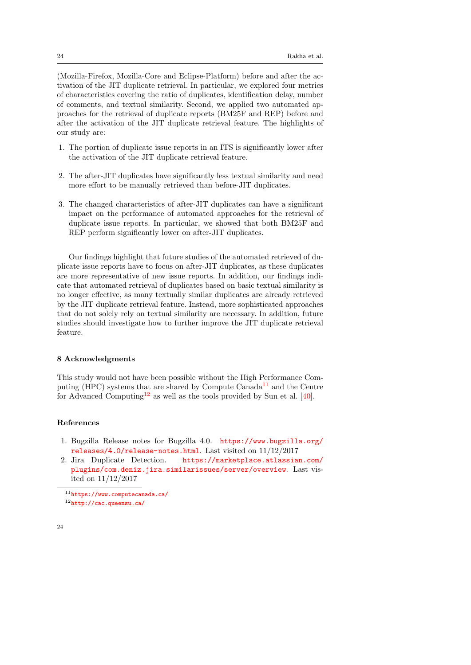(Mozilla-Firefox, Mozilla-Core and Eclipse-Platform) before and after the activation of the JIT duplicate retrieval. In particular, we explored four metrics of characteristics covering the ratio of duplicates, identification delay, number of comments, and textual similarity. Second, we applied two automated approaches for the retrieval of duplicate reports (BM25F and REP) before and after the activation of the JIT duplicate retrieval feature. The highlights of our study are:

- 1. The portion of duplicate issue reports in an ITS is significantly lower after the activation of the JIT duplicate retrieval feature.
- 2. The after-JIT duplicates have significantly less textual similarity and need more effort to be manually retrieved than before-JIT duplicates.
- 3. The changed characteristics of after-JIT duplicates can have a significant impact on the performance of automated approaches for the retrieval of duplicate issue reports. In particular, we showed that both BM25F and REP perform significantly lower on after-JIT duplicates.

Our findings highlight that future studies of the automated retrieved of duplicate issue reports have to focus on after-JIT duplicates, as these duplicates are more representative of new issue reports. In addition, our findings indicate that automated retrieval of duplicates based on basic textual similarity is no longer effective, as many textually similar duplicates are already retrieved by the JIT duplicate retrieval feature. Instead, more sophisticated approaches that do not solely rely on textual similarity are necessary. In addition, future studies should investigate how to further improve the JIT duplicate retrieval feature.

## 8 Acknowledgments

This study would not have been possible without the High Performance Com-puting (HPC) systems that are shared by Compute Canada<sup>[11](#page-0-0)</sup> and the Centre for Advanced Computing<sup>[12](#page-0-0)</sup> as well as the tools provided by Sun et al. [\[40\]](#page-26-2).

#### References

- <span id="page-23-0"></span>1. Bugzilla Release notes for Bugzilla 4.0. [https://www.bugzilla.org/](https://www.bugzilla.org/releases/4.0/release-notes.html) [releases/4.0/release-notes.html](https://www.bugzilla.org/releases/4.0/release-notes.html). Last visited on 11/12/2017
- <span id="page-23-1"></span>2. Jira Duplicate Detection. [https://marketplace.atlassian.com/](https://marketplace.atlassian.com/plugins/com.deniz.jira.similarissues/server/overview) [plugins/com.deniz.jira.similarissues/server/overview](https://marketplace.atlassian.com/plugins/com.deniz.jira.similarissues/server/overview). Last visited on 11/12/2017

<sup>11</sup><https://www.computecanada.ca/> <sup>12</sup><http://cac.queensu.ca/>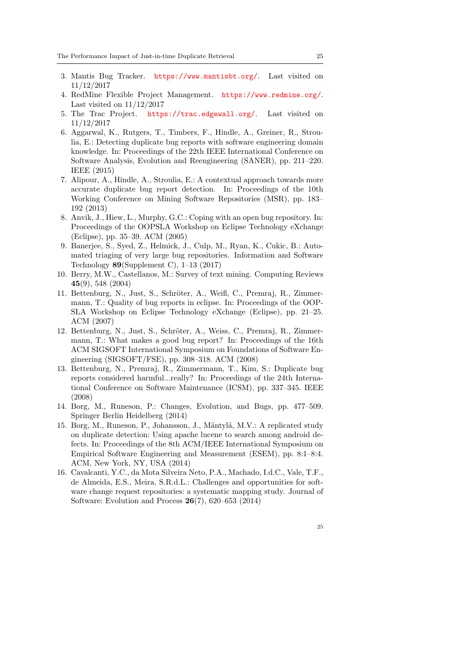- <span id="page-24-6"></span>3. Mantis Bug Tracker. <https://www.mantisbt.org/>. Last visited on 11/12/2017
- <span id="page-24-7"></span>4. RedMine Flexible Project Management. <https://www.redmine.org/>. Last visited on  $11/12/2017$
- <span id="page-24-8"></span>5. The Trac Project. <https://trac.edgewall.org/>. Last visited on 11/12/2017
- <span id="page-24-0"></span>6. Aggarwal, K., Rutgers, T., Timbers, F., Hindle, A., Greiner, R., Stroulia, E.: Detecting duplicate bug reports with software engineering domain knowledge. In: Proceedings of the 22th IEEE International Conference on Software Analysis, Evolution and Reengineering (SANER), pp. 211–220. IEEE (2015)
- <span id="page-24-1"></span>7. Alipour, A., Hindle, A., Stroulia, E.: A contextual approach towards more accurate duplicate bug report detection. In: Proceedings of the 10th Working Conference on Mining Software Repositories (MSR), pp. 183– 192 (2013)
- <span id="page-24-3"></span>8. Anvik, J., Hiew, L., Murphy, G.C.: Coping with an open bug repository. In: Proceedings of the OOPSLA Workshop on Eclipse Technology eXchange (Eclipse), pp. 35–39. ACM (2005)
- <span id="page-24-9"></span>9. Banerjee, S., Syed, Z., Helmick, J., Culp, M., Ryan, K., Cukic, B.: Automated triaging of very large bug repositories. Information and Software Technology  $89$ (Supplement C), 1–13 (2017)
- <span id="page-24-5"></span>10. Berry, M.W., Castellanos, M.: Survey of text mining. Computing Reviews 45(9), 548 (2004)
- <span id="page-24-13"></span>11. Bettenburg, N., Just, S., Schröter, A., Weiß, C., Premraj, R., Zimmermann, T.: Quality of bug reports in eclipse. In: Proceedings of the OOP-SLA Workshop on Eclipse Technology eXchange (Eclipse), pp. 21–25. ACM (2007)
- <span id="page-24-12"></span>12. Bettenburg, N., Just, S., Schröter, A., Weiss, C., Premraj, R., Zimmermann, T.: What makes a good bug report? In: Proceedings of the 16th ACM SIGSOFT International Symposium on Foundations of Software Engineering (SIGSOFT/FSE), pp. 308–318. ACM (2008)
- <span id="page-24-4"></span>13. Bettenburg, N., Premraj, R., Zimmermann, T., Kim, S.: Duplicate bug reports considered harmful...really? In: Proceedings of the 24th International Conference on Software Maintenance (ICSM), pp. 337–345. IEEE (2008)
- <span id="page-24-11"></span>14. Borg, M., Runeson, P.: Changes, Evolution, and Bugs, pp. 477–509. Springer Berlin Heidelberg (2014)
- <span id="page-24-10"></span>15. Borg, M., Runeson, P., Johansson, J., Mäntylä, M.V.: A replicated study on duplicate detection: Using apache lucene to search among android defects. In: Proceedings of the 8th ACM/IEEE International Symposium on Empirical Software Engineering and Measurement (ESEM), pp. 8:1–8:4. ACM, New York, NY, USA (2014)
- <span id="page-24-2"></span>16. Cavalcanti, Y.C., da Mota Silveira Neto, P.A., Machado, I.d.C., Vale, T.F., de Almeida, E.S., Meira, S.R.d.L.: Challenges and opportunities for software change request repositories: a systematic mapping study. Journal of Software: Evolution and Process 26(7), 620–653 (2014)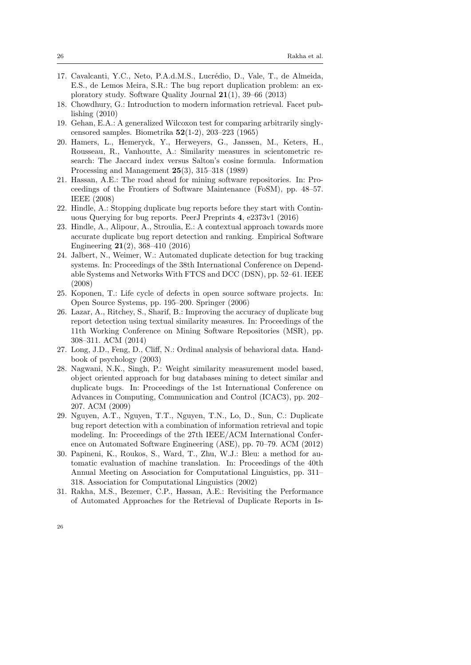- <span id="page-25-9"></span>17. Cavalcanti, Y.C., Neto, P.A.d.M.S., Lucrédio, D., Vale, T., de Almeida, E.S., de Lemos Meira, S.R.: The bug report duplication problem: an exploratory study. Software Quality Journal 21(1), 39–66 (2013)
- <span id="page-25-6"></span>18. Chowdhury, G.: Introduction to modern information retrieval. Facet publishing (2010)
- <span id="page-25-13"></span>19. Gehan, E.A.: A generalized Wilcoxon test for comparing arbitrarily singlycensored samples. Biometrika 52(1-2), 203–223 (1965)
- <span id="page-25-8"></span>20. Hamers, L., Hemeryck, Y., Herweyers, G., Janssen, M., Keters, H., Rousseau, R., Vanhoutte, A.: Similarity measures in scientometric research: The Jaccard index versus Salton's cosine formula. Information Processing and Management 25(3), 315–318 (1989)
- <span id="page-25-0"></span>21. Hassan, A.E.: The road ahead for mining software repositories. In: Proceedings of the Frontiers of Software Maintenance (FoSM), pp. 48–57. IEEE (2008)
- <span id="page-25-10"></span>22. Hindle, A.: Stopping duplicate bug reports before they start with Continuous Querying for bug reports. PeerJ Preprints 4, e2373v1 (2016)
- <span id="page-25-1"></span>23. Hindle, A., Alipour, A., Stroulia, E.: A contextual approach towards more accurate duplicate bug report detection and ranking. Empirical Software Engineering 21(2), 368–410 (2016)
- <span id="page-25-2"></span>24. Jalbert, N., Weimer, W.: Automated duplicate detection for bug tracking systems. In: Proceedings of the 38th International Conference on Dependable Systems and Networks With FTCS and DCC (DSN), pp. 52–61. IEEE (2008)
- <span id="page-25-4"></span>25. Koponen, T.: Life cycle of defects in open source software projects. In: Open Source Systems, pp. 195–200. Springer (2006)
- <span id="page-25-12"></span>26. Lazar, A., Ritchey, S., Sharif, B.: Improving the accuracy of duplicate bug report detection using textual similarity measures. In: Proceedings of the 11th Working Conference on Mining Software Repositories (MSR), pp. 308–311. ACM (2014)
- <span id="page-25-14"></span>27. Long, J.D., Feng, D., Cliff, N.: Ordinal analysis of behavioral data. Handbook of psychology (2003)
- <span id="page-25-5"></span>28. Nagwani, N.K., Singh, P.: Weight similarity measurement model based, object oriented approach for bug databases mining to detect similar and duplicate bugs. In: Proceedings of the 1st International Conference on Advances in Computing, Communication and Control (ICAC3), pp. 202– 207. ACM (2009)
- <span id="page-25-3"></span>29. Nguyen, A.T., Nguyen, T.T., Nguyen, T.N., Lo, D., Sun, C.: Duplicate bug report detection with a combination of information retrieval and topic modeling. In: Proceedings of the 27th IEEE/ACM International Conference on Automated Software Engineering (ASE), pp. 70–79. ACM (2012)
- <span id="page-25-7"></span>30. Papineni, K., Roukos, S., Ward, T., Zhu, W.J.: Bleu: a method for automatic evaluation of machine translation. In: Proceedings of the 40th Annual Meeting on Association for Computational Linguistics, pp. 311– 318. Association for Computational Linguistics (2002)
- <span id="page-25-11"></span>31. Rakha, M.S., Bezemer, C.P., Hassan, A.E.: Revisiting the Performance of Automated Approaches for the Retrieval of Duplicate Reports in Is-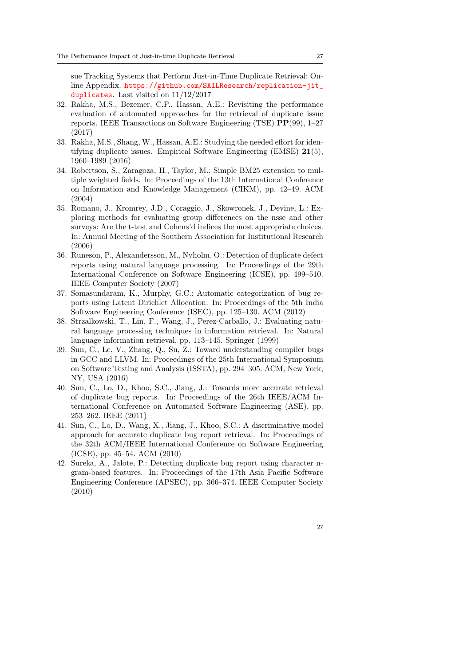sue Tracking Systems that Perform Just-in-Time Duplicate Retrieval: Online Appendix. [https://github.com/SAILResearch/replication-jit\\_](https://github.com/SAILResearch/replication-jit_duplicates) [duplicates](https://github.com/SAILResearch/replication-jit_duplicates). Last visited on 11/12/2017

- <span id="page-26-6"></span>32. Rakha, M.S., Bezemer, C.P., Hassan, A.E.: Revisiting the performance evaluation of automated approaches for the retrieval of duplicate issue reports. IEEE Transactions on Software Engineering (TSE) PP(99), 1–27 (2017)
- <span id="page-26-0"></span>33. Rakha, M.S., Shang, W., Hassan, A.E.: Studying the needed effort for identifying duplicate issues. Empirical Software Engineering (EMSE) 21(5), 1960–1989 (2016)
- <span id="page-26-4"></span>34. Robertson, S., Zaragoza, H., Taylor, M.: Simple BM25 extension to multiple weighted fields. In: Proceedings of the 13th International Conference on Information and Knowledge Management (CIKM), pp. 42–49. ACM (2004)
- <span id="page-26-9"></span>35. Romano, J., Kromrey, J.D., Coraggio, J., Skowronek, J., Devine, L.: Exploring methods for evaluating group differences on the nsse and other surveys: Are the t-test and Cohens'd indices the most appropriate choices. In: Annual Meeting of the Southern Association for Institutional Research (2006)
- <span id="page-26-1"></span>36. Runeson, P., Alexandersson, M., Nyholm, O.: Detection of duplicate defect reports using natural language processing. In: Proceedings of the 29th International Conference on Software Engineering (ICSE), pp. 499–510. IEEE Computer Society (2007)
- <span id="page-26-8"></span>37. Somasundaram, K., Murphy, G.C.: Automatic categorization of bug reports using Latent Dirichlet Allocation. In: Proceedings of the 5th India Software Engineering Conference (ISEC), pp. 125–130. ACM (2012)
- <span id="page-26-3"></span>38. Strzalkowski, T., Lin, F., Wang, J., Perez-Carballo, J.: Evaluating natural language processing techniques in information retrieval. In: Natural language information retrieval, pp. 113–145. Springer (1999)
- <span id="page-26-10"></span>39. Sun, C., Le, V., Zhang, Q., Su, Z.: Toward understanding compiler bugs in GCC and LLVM. In: Proceedings of the 25th International Symposium on Software Testing and Analysis (ISSTA), pp. 294–305. ACM, New York, NY, USA (2016)
- <span id="page-26-2"></span>40. Sun, C., Lo, D., Khoo, S.C., Jiang, J.: Towards more accurate retrieval of duplicate bug reports. In: Proceedings of the 26th IEEE/ACM International Conference on Automated Software Engineering (ASE), pp. 253–262. IEEE (2011)
- <span id="page-26-5"></span>41. Sun, C., Lo, D., Wang, X., Jiang, J., Khoo, S.C.: A discriminative model approach for accurate duplicate bug report retrieval. In: Proceedings of the 32th ACM/IEEE International Conference on Software Engineering (ICSE), pp. 45–54. ACM (2010)
- <span id="page-26-7"></span>42. Sureka, A., Jalote, P.: Detecting duplicate bug report using character ngram-based features. In: Proceedings of the 17th Asia Pacific Software Engineering Conference (APSEC), pp. 366–374. IEEE Computer Society (2010)